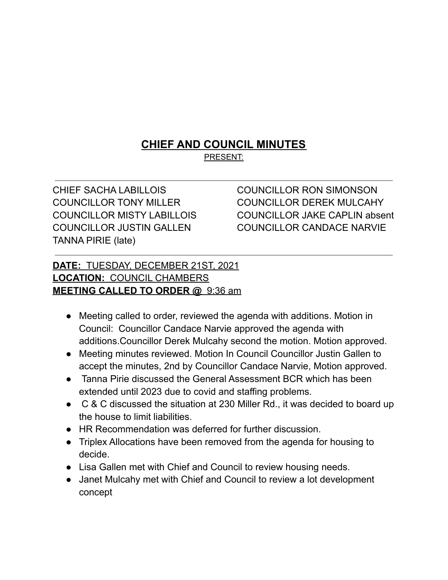## **CHIEF AND COUNCIL MINUTES**

PRESENT:

CHIEF SACHA LABILLOIS COUNCILLOR RON SIMONSON TANNA PIRIE (late)

COUNCILLOR TONY MILLER COUNCILLOR DEREK MULCAHY COUNCILLOR MISTY LABILLOIS COUNCILLOR JAKE CAPLIN absent COUNCILLOR JUSTIN GALLEN COUNCILLOR CANDACE NARVIE

## **DATE:** TUESDAY, DECEMBER 21ST, 2021 **LOCATION:** COUNCIL CHAMBERS **MEETING CALLED TO ORDER @** 9:36 am

- Meeting called to order, reviewed the agenda with additions. Motion in Council: Councillor Candace Narvie approved the agenda with additions.Councillor Derek Mulcahy second the motion. Motion approved.
- Meeting minutes reviewed. Motion In Council Councillor Justin Gallen to accept the minutes, 2nd by Councillor Candace Narvie, Motion approved.
- Tanna Pirie discussed the General Assessment BCR which has been extended until 2023 due to covid and staffing problems.
- C & C discussed the situation at 230 Miller Rd., it was decided to board up the house to limit liabilities.
- HR Recommendation was deferred for further discussion.
- Triplex Allocations have been removed from the agenda for housing to decide.
- Lisa Gallen met with Chief and Council to review housing needs.
- Janet Mulcahy met with Chief and Council to review a lot development concept